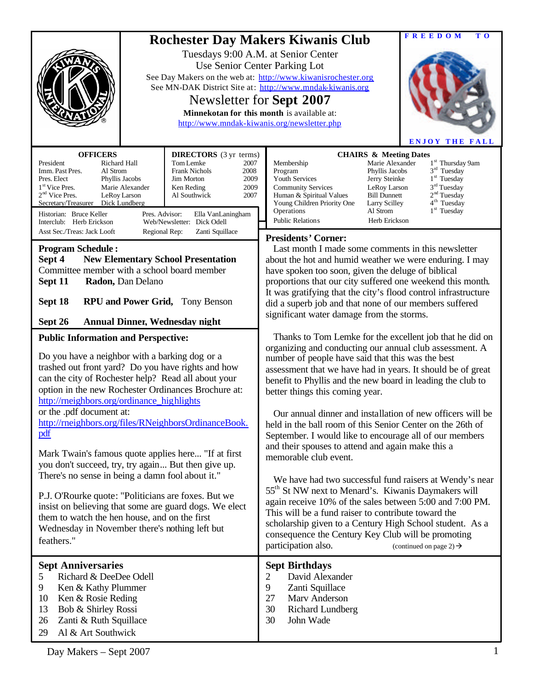|                                                                                                                                                                                                                                                                                                                                                                                                                                                                                                                                        | <b>FREEDOM</b><br>T O<br><b>Rochester Day Makers Kiwanis Club</b><br>Tuesdays 9:00 A.M. at Senior Center<br>Use Senior Center Parking Lot<br>See Day Makers on the web at: http://www.kiwanisrochester.org<br>See MN-DAK District Site at: http://www.mndak-kiwanis.org<br>Newsletter for Sept 2007<br>Minnekotan for this month is available at:<br>http://www.mndak-kiwanis.org/newsletter.php<br><b>ENJOY THE FALL</b>                                                                                                    |  |  |  |  |  |  |  |
|----------------------------------------------------------------------------------------------------------------------------------------------------------------------------------------------------------------------------------------------------------------------------------------------------------------------------------------------------------------------------------------------------------------------------------------------------------------------------------------------------------------------------------------|------------------------------------------------------------------------------------------------------------------------------------------------------------------------------------------------------------------------------------------------------------------------------------------------------------------------------------------------------------------------------------------------------------------------------------------------------------------------------------------------------------------------------|--|--|--|--|--|--|--|
| <b>OFFICERS</b><br><b>DIRECTORS</b> (3 yr terms)<br>President<br>Richard Hall<br>Tom Lemke<br>2007<br>Imm. Past Pres.<br>Al Strom<br><b>Frank Nichols</b><br>2008<br>2009<br>Pres. Elect<br>Phyllis Jacobs<br><b>Jim Morton</b><br>1 <sup>st</sup> Vice Pres.<br>2009<br>Marie Alexander<br>Ken Reding<br>$2nd$ Vice Pres.<br>LeRoy Larson<br>2007<br>Al Southwick<br>Secretary/Treasurer<br>Dick Lundberg<br>Historian: Bruce Keller<br>Pres. Advisor:<br>Ella VanLaningham<br>Interclub: Herb Erickson<br>Web/Newsletter: Dick Odell | <b>CHAIRS &amp; Meeting Dates</b><br>Marie Alexander<br>1 <sup>st</sup> Thursday 9am<br>Membership<br>$3rd$ Tuesday<br>Phyllis Jacobs<br>Program<br>$1st$ Tuesday<br>Youth Services<br>Jerry Steinke<br>3 <sup>rd</sup> Tuesday<br><b>Community Services</b><br>LeRoy Larson<br>2 <sup>nd</sup> Tuesday<br><b>Bill Dunnett</b><br>Human & Spiritual Values<br>4 <sup>th</sup> Tuesday<br>Young Children Priority One<br>Larry Scilley<br>$1st$ Tuesday<br>Operations<br>Al Strom<br><b>Public Relations</b><br>Herb Erickson |  |  |  |  |  |  |  |
| Asst Sec./Treas: Jack Looft<br>Zanti Squillace<br>Regional Rep:<br><b>Program Schedule:</b><br><b>New Elementary School Presentation</b><br>Sept 4<br>Committee member with a school board member<br>Sept 11<br>Radon, Dan Delano<br>Sept 18<br><b>RPU and Power Grid, Tony Benson</b><br>Sept 26<br>Annual Dinner, Wednesday night                                                                                                                                                                                                    | <b>Presidents' Corner:</b><br>Last month I made some comments in this newsletter<br>about the hot and humid weather we were enduring. I may<br>have spoken too soon, given the deluge of biblical<br>proportions that our city suffered one weekend this month.<br>It was gratifying that the city's flood control infrastructure<br>did a superb job and that none of our members suffered<br>significant water damage from the storms.                                                                                     |  |  |  |  |  |  |  |
| <b>Public Information and Perspective:</b><br>Do you have a neighbor with a barking dog or a<br>trashed out front yard? Do you have rights and how<br>can the city of Rochester help? Read all about your<br>option in the new Rochester Ordinances Brochure at:<br>http://rneighbors.org/ordinance_highlights<br>or the .pdf document at:                                                                                                                                                                                             | Thanks to Tom Lemke for the excellent job that he did on<br>organizing and conducting our annual club assessment. A<br>number of people have said that this was the best<br>assessment that we have had in years. It should be of great<br>benefit to Phyllis and the new board in leading the club to<br>better things this coming year.<br>Our annual dinner and installation of new officers will be                                                                                                                      |  |  |  |  |  |  |  |
| http://rneighbors.org/files/RNeighborsOrdinanceBook.<br>pdf<br>Mark Twain's famous quote applies here "If at first<br>you don't succeed, try, try again But then give up.<br>There's no sense in being a damn fool about it."<br>P.J. O'Rourke quote: "Politicians are foxes. But we<br>insist on believing that some are guard dogs. We elect                                                                                                                                                                                         | held in the ball room of this Senior Center on the 26th of<br>September. I would like to encourage all of our members<br>and their spouses to attend and again make this a<br>memorable club event.<br>We have had two successful fund raisers at Wendy's near<br>55 <sup>th</sup> St NW next to Menard's. Kiwanis Daymakers will<br>again receive 10% of the sales between 5:00 and 7:00 PM.                                                                                                                                |  |  |  |  |  |  |  |
| them to watch the hen house, and on the first<br>Wednesday in November there's nothing left but<br>feathers."                                                                                                                                                                                                                                                                                                                                                                                                                          | This will be a fund raiser to contribute toward the<br>scholarship given to a Century High School student. As a<br>consequence the Century Key Club will be promoting<br>participation also.<br>(continued on page 2) $\rightarrow$                                                                                                                                                                                                                                                                                          |  |  |  |  |  |  |  |
| <b>Sept Anniversaries</b><br>Richard & DeeDee Odell<br>5<br>9<br>Ken & Kathy Plummer<br>10<br>Ken & Rosie Reding<br>13<br>Bob & Shirley Rossi<br>26<br>Zanti & Ruth Squillace<br>Al & Art Southwick<br>29                                                                                                                                                                                                                                                                                                                              | <b>Sept Birthdays</b><br>David Alexander<br>$\overline{2}$<br>9<br>Zanti Squillace<br>27<br>Marv Anderson<br>30<br><b>Richard Lundberg</b><br>30<br>John Wade                                                                                                                                                                                                                                                                                                                                                                |  |  |  |  |  |  |  |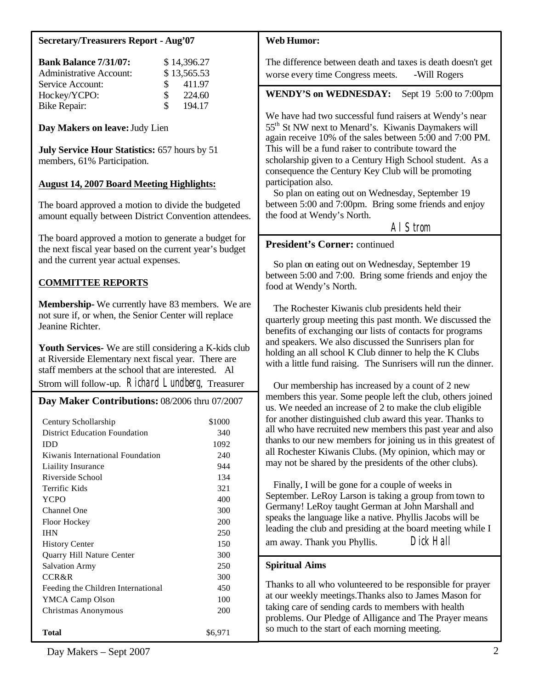## **Secretary/Treasurers Report - Aug'07**

| <b>Bank Balance 7/31/07:</b>   |     | \$14,396.27 |
|--------------------------------|-----|-------------|
| <b>Administrative Account:</b> |     | \$13,565.53 |
| Service Account:               | SS. | 411.97      |
| Hockey/YCPO:                   | £.  | 224.60      |
| <b>Bike Repair:</b>            | £.  | 194.17      |

**Day Makers on leave:** Judy Lien

**July Service Hour Statistics:** 657 hours by 51 members, 61% Participation.

## **August 14, 2007 Board Meeting Highlights:**

The board approved a motion to divide the budgeted amount equally between District Convention attendees.

The board approved a motion to generate a budget for the next fiscal year based on the current year's budget and the current year actual expenses.

# **COMMITTEE REPORTS**

**Membership-** We currently have 83 members. We are not sure if, or when, the Senior Center will replace Jeanine Richter.

Youth Services- We are still considering a K-kids club at Riverside Elementary next fiscal year. There are staff members at the school that are interested. Al Strom will follow-up. Richard Lundberg, Treasurer

## **Day Maker Contributions:** 08/2006 thru 07/2007

| Century Schollarship                 | \$1000  |
|--------------------------------------|---------|
| <b>District Education Foundation</b> | 340     |
| IDD                                  | 1092    |
| Kiwanis International Foundation     | 240     |
| Liaility Insurance                   | 944     |
| Riverside School                     | 134     |
| Terrific Kids                        | 321     |
| <b>YCPO</b>                          | 400     |
| Channel One                          | 300     |
| Floor Hockey                         | 200     |
| <b>IHN</b>                           | 250     |
| <b>History Center</b>                | 150     |
| Quarry Hill Nature Center            | 300     |
| <b>Salvation Army</b>                | 250     |
| CCR&R                                | 300     |
| Feeding the Children International   | 450     |
| YMCA Camp Olson                      | 100     |
| Christmas Anonymous                  | 200     |
| Total                                | \$6,971 |

#### **Web Humor:**

The difference between death and taxes is death doesn't get worse every time Congress meets. -Will Rogers

**WENDY'S on WEDNESDAY:** Sept 19 5:00 to 7:00pm

We have had two successful fund raisers at Wendy's near 55th St NW next to Menard's. Kiwanis Daymakers will again receive 10% of the sales between 5:00 and 7:00 PM. This will be a fund raiser to contribute toward the scholarship given to a Century High School student. As a consequence the Century Key Club will be promoting participation also.

 So plan on eating out on Wednesday, September 19 between 5:00 and 7:00pm. Bring some friends and enjoy the food at Wendy's North.

Al Strom

### **President's Corner:** continued

 So plan on eating out on Wednesday, September 19 between 5:00 and 7:00. Bring some friends and enjoy the food at Wendy's North.

 The Rochester Kiwanis club presidents held their quarterly group meeting this past month. We discussed the benefits of exchanging our lists of contacts for programs and speakers. We also discussed the Sunrisers plan for holding an all school K Club dinner to help the K Clubs with a little fund raising. The Sunrisers will run the dinner.

 Our membership has increased by a count of 2 new members this year. Some people left the club, others joined us. We needed an increase of 2 to make the club eligible for another distinguished club award this year. Thanks to all who have recruited new members this past year and also thanks to our new members for joining us in this greatest of all Rochester Kiwanis Clubs. (My opinion, which may or may not be shared by the presidents of the other clubs).

 Finally, I will be gone for a couple of weeks in September. LeRoy Larson is taking a group from town to Germany! LeRoy taught German at John Marshall and speaks the language like a native. Phyllis Jacobs will be leading the club and presiding at the board meeting while I am away. Thank you Phyllis. Dick Hall

## **Spiritual Aims**

Thanks to all who volunteered to be responsible for prayer at our weekly meetings.Thanks also to James Mason for taking care of sending cards to members with health problems. Our Pledge of Alligance and The Prayer means so much to the start of each morning meeting.